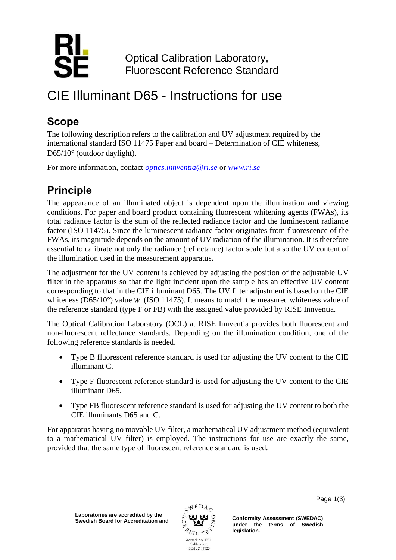

Optical Calibration Laboratory, Fluorescent Reference Standard

# CIE Illuminant D65 - Instructions for use

### **Scope**

The following description refers to the calibration and UV adjustment required by the international standard ISO 11475 Paper and board – Determination of CIE whiteness,  $D65/10^{\circ}$  (outdoor daylight).

For more information, contact *[optics.innventia@ri.se](mailto:optics.innventia@ri.se)* or *[www.ri.se](http://www.ri.se/)*

## **Principle**

The appearance of an illuminated object is dependent upon the illumination and viewing conditions. For paper and board product containing fluorescent whitening agents (FWAs), its total radiance factor is the sum of the reflected radiance factor and the luminescent radiance factor (ISO 11475). Since the luminescent radiance factor originates from fluorescence of the FWAs, its magnitude depends on the amount of UV radiation of the illumination. It is therefore essential to calibrate not only the radiance (reflectance) factor scale but also the UV content of the illumination used in the measurement apparatus.

The adjustment for the UV content is achieved by adjusting the position of the adjustable UV filter in the apparatus so that the light incident upon the sample has an effective UV content corresponding to that in the CIE illuminant D65. The UV filter adjustment is based on the CIE whiteness ( $D65/10^{\circ}$ ) value *W* (ISO 11475). It means to match the measured whiteness value of the reference standard (type F or FB) with the assigned value provided by RISE Innventia.

The Optical Calibration Laboratory (OCL) at RISE Innventia provides both fluorescent and non-fluorescent reflectance standards. Depending on the illumination condition, one of the following reference standards is needed.

- Type B fluorescent reference standard is used for adjusting the UV content to the CIE illuminant C.
- Type F fluorescent reference standard is used for adjusting the UV content to the CIE illuminant D65.
- Type FB fluorescent reference standard is used for adjusting the UV content to both the CIE illuminants D65 and C.

For apparatus having no movable UV filter, a mathematical UV adjustment method (equivalent to a mathematical UV filter) is employed. The instructions for use are exactly the same, provided that the same type of fluorescent reference standard is used.



Page 1(3)

**under the terms of Swedish legislation.**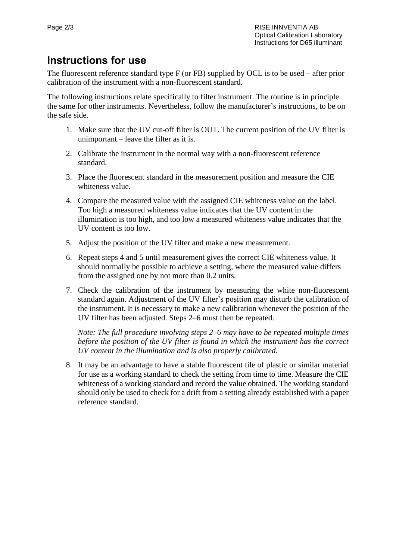#### **Instructions for use**

The fluorescent reference standard type F (or FB) supplied by OCL is to be used – after prior calibration of the instrument with a non-fluorescent standard.

The following instructions relate specifically to filter instrument. The routine is in principle the same for other instruments. Nevertheless, follow the manufacturer's instructions, to be on the safe side.

- 1. Make sure that the UV cut-off filter is OUT. The current position of the UV filter is unimportant – leave the filter as it is.
- 2. Calibrate the instrument in the normal way with a non-fluorescent reference standard.
- 3. Place the fluorescent standard in the measurement position and measure the CIE whiteness value.
- 4. Compare the measured value with the assigned CIE whiteness value on the label. Too high a measured whiteness value indicates that the UV content in the illumination is too high, and too low a measured whiteness value indicates that the UV content is too low.
- 5. Adjust the position of the UV filter and make a new measurement.
- 6. Repeat steps 4 and 5 until measurement gives the correct CIE whiteness value. It should normally be possible to achieve a setting, where the measured value differs from the assigned one by not more than 0.2 units.
- 7. Check the calibration of the instrument by measuring the white non-fluorescent standard again. Adjustment of the UV filter's position may disturb the calibration of the instrument. It is necessary to make a new calibration whenever the position of the UV filter has been adjusted. Steps 2–6 must then be repeated.

*Note: The full procedure involving steps 2–6 may have to be repeated multiple times before the position of the UV filter is found in which the instrument has the correct UV content in the illumination and is also properly calibrated.*

8. It may be an advantage to have a stable fluorescent tile of plastic or similar material for use as a working standard to check the setting from time to time. Measure the CIE whiteness of a working standard and record the value obtained. The working standard should only be used to check for a drift from a setting already established with a paper reference standard.